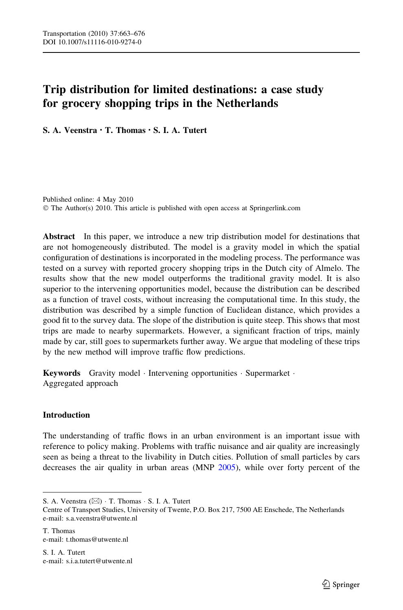# Trip distribution for limited destinations: a case study for grocery shopping trips in the Netherlands

S. A. Veenstra • T. Thomas • S. I. A. Tutert

Published online: 4 May 2010 © The Author(s) 2010. This article is published with open access at Springerlink.com

Abstract In this paper, we introduce a new trip distribution model for destinations that are not homogeneously distributed. The model is a gravity model in which the spatial configuration of destinations is incorporated in the modeling process. The performance was tested on a survey with reported grocery shopping trips in the Dutch city of Almelo. The results show that the new model outperforms the traditional gravity model. It is also superior to the intervening opportunities model, because the distribution can be described as a function of travel costs, without increasing the computational time. In this study, the distribution was described by a simple function of Euclidean distance, which provides a good fit to the survey data. The slope of the distribution is quite steep. This shows that most trips are made to nearby supermarkets. However, a significant fraction of trips, mainly made by car, still goes to supermarkets further away. We argue that modeling of these trips by the new method will improve traffic flow predictions.

Keywords Gravity model · Intervening opportunities · Supermarket · Aggregated approach

# **Introduction**

The understanding of traffic flows in an urban environment is an important issue with reference to policy making. Problems with traffic nuisance and air quality are increasingly seen as being a threat to the livability in Dutch cities. Pollution of small particles by cars decreases the air quality in urban areas (MNP [2005](#page-13-0)), while over forty percent of the

S. A. Veenstra  $(\boxtimes) \cdot$  T. Thomas  $\cdot$  S. I. A. Tutert

Centre of Transport Studies, University of Twente, P.O. Box 217, 7500 AE Enschede, The Netherlands e-mail: s.a.veenstra@utwente.nl

T. Thomas e-mail: t.thomas@utwente.nl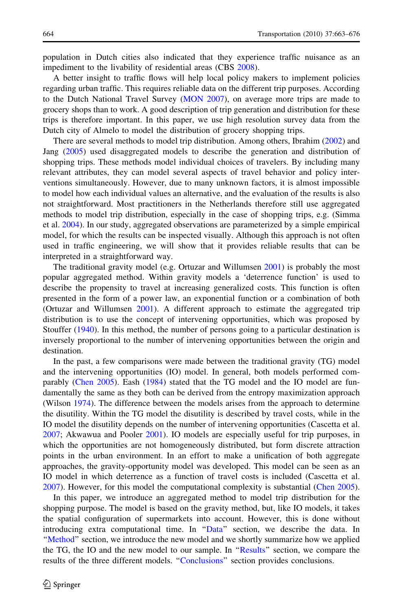population in Dutch cities also indicated that they experience traffic nuisance as an impediment to the livability of residential areas (CBS [2008\)](#page-13-0).

A better insight to traffic flows will help local policy makers to implement policies regarding urban traffic. This requires reliable data on the different trip purposes. According to the Dutch National Travel Survey ([MON 2007\)](#page-13-0), on average more trips are made to grocery shops than to work. A good description of trip generation and distribution for these trips is therefore important. In this paper, we use high resolution survey data from the Dutch city of Almelo to model the distribution of grocery shopping trips.

There are several methods to model trip distribution. Among others, Ibrahim [\(2002](#page-13-0)) and Jang ([2005\)](#page-13-0) used disaggregated models to describe the generation and distribution of shopping trips. These methods model individual choices of travelers. By including many relevant attributes, they can model several aspects of travel behavior and policy interventions simultaneously. However, due to many unknown factors, it is almost impossible to model how each individual values an alternative, and the evaluation of the results is also not straightforward. Most practitioners in the Netherlands therefore still use aggregated methods to model trip distribution, especially in the case of shopping trips, e.g. (Simma et al. [2004\)](#page-13-0). In our study, aggregated observations are parameterized by a simple empirical model, for which the results can be inspected visually. Although this approach is not often used in traffic engineering, we will show that it provides reliable results that can be interpreted in a straightforward way.

The traditional gravity model (e.g. Ortuzar and Willumsen [2001](#page-13-0)) is probably the most popular aggregated method. Within gravity models a 'deterrence function' is used to describe the propensity to travel at increasing generalized costs. This function is often presented in the form of a power law, an exponential function or a combination of both (Ortuzar and Willumsen [2001\)](#page-13-0). A different approach to estimate the aggregated trip distribution is to use the concept of intervening opportunities, which was proposed by Stouffer ([1940\)](#page-13-0). In this method, the number of persons going to a particular destination is inversely proportional to the number of intervening opportunities between the origin and destination.

In the past, a few comparisons were made between the traditional gravity (TG) model and the intervening opportunities (IO) model. In general, both models performed comparably [\(Chen 2005\)](#page-13-0). Eash [\(1984](#page-13-0)) stated that the TG model and the IO model are fundamentally the same as they both can be derived from the entropy maximization approach (Wilson [1974](#page-13-0)). The difference between the models arises from the approach to determine the disutility. Within the TG model the disutility is described by travel costs, while in the IO model the disutility depends on the number of intervening opportunities (Cascetta et al. [2007;](#page-12-0) Akwawua and Pooler [2001\)](#page-12-0). IO models are especially useful for trip purposes, in which the opportunities are not homogeneously distributed, but form discrete attraction points in the urban environment. In an effort to make a unification of both aggregate approaches, the gravity-opportunity model was developed. This model can be seen as an IO model in which deterrence as a function of travel costs is included (Cascetta et al. [2007\)](#page-12-0). However, for this model the computational complexity is substantial [\(Chen 2005](#page-13-0)).

In this paper, we introduce an aggregated method to model trip distribution for the shopping purpose. The model is based on the gravity method, but, like IO models, it takes the spatial configuration of supermarkets into account. However, this is done without introducing extra computational time. In "Data" section, we describe the data. In ''[Method](#page-3-0)'' section, we introduce the new model and we shortly summarize how we applied the TG, the IO and the new model to our sample. In ''[Results'](#page-8-0)' section, we compare the results of the three different models. "[Conclusions](#page-11-0)" section provides conclusions.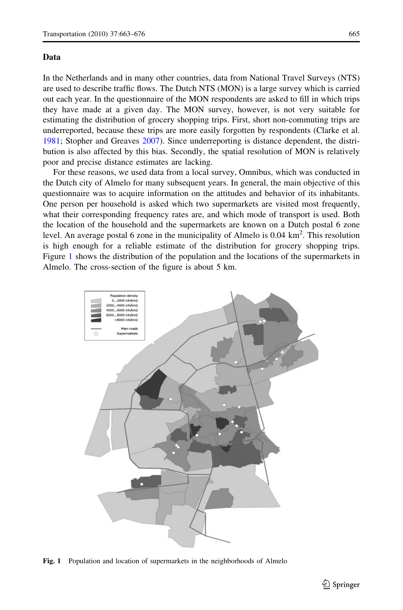# <span id="page-2-0"></span>Data

In the Netherlands and in many other countries, data from National Travel Surveys (NTS) are used to describe traffic flows. The Dutch NTS (MON) is a large survey which is carried out each year. In the questionnaire of the MON respondents are asked to fill in which trips they have made at a given day. The MON survey, however, is not very suitable for estimating the distribution of grocery shopping trips. First, short non-commuting trips are underreported, because these trips are more easily forgotten by respondents (Clarke et al. [1981;](#page-12-0) Stopher and Greaves [2007](#page-13-0)). Since underreporting is distance dependent, the distribution is also affected by this bias. Secondly, the spatial resolution of MON is relatively poor and precise distance estimates are lacking.

For these reasons, we used data from a local survey, Omnibus, which was conducted in the Dutch city of Almelo for many subsequent years. In general, the main objective of this questionnaire was to acquire information on the attitudes and behavior of its inhabitants. One person per household is asked which two supermarkets are visited most frequently, what their corresponding frequency rates are, and which mode of transport is used. Both the location of the household and the supermarkets are known on a Dutch postal 6 zone level. An average postal 6 zone in the municipality of Almelo is  $0.04 \text{ km}^2$ . This resolution is high enough for a reliable estimate of the distribution for grocery shopping trips. Figure 1 shows the distribution of the population and the locations of the supermarkets in Almelo. The cross-section of the figure is about 5 km.



Fig. 1 Population and location of supermarkets in the neighborhoods of Almelo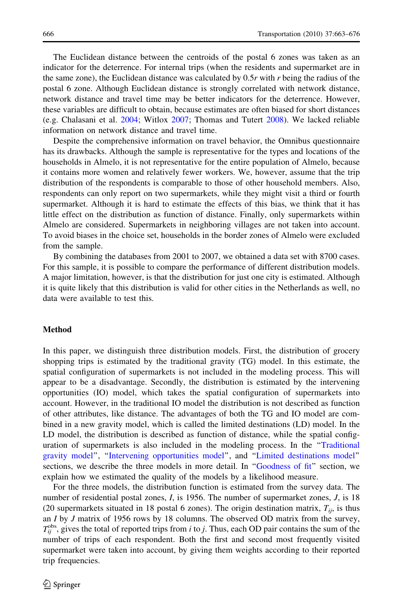<span id="page-3-0"></span>The Euclidean distance between the centroids of the postal 6 zones was taken as an indicator for the deterrence. For internal trips (when the residents and supermarket are in the same zone), the Euclidean distance was calculated by  $0.5r$  with r being the radius of the postal 6 zone. Although Euclidean distance is strongly correlated with network distance, network distance and travel time may be better indicators for the deterrence. However, these variables are difficult to obtain, because estimates are often biased for short distances (e.g. Chalasani et al. [2004;](#page-13-0) Witlox [2007;](#page-13-0) Thomas and Tutert [2008\)](#page-13-0). We lacked reliable information on network distance and travel time.

Despite the comprehensive information on travel behavior, the Omnibus questionnaire has its drawbacks. Although the sample is representative for the types and locations of the households in Almelo, it is not representative for the entire population of Almelo, because it contains more women and relatively fewer workers. We, however, assume that the trip distribution of the respondents is comparable to those of other household members. Also, respondents can only report on two supermarkets, while they might visit a third or fourth supermarket. Although it is hard to estimate the effects of this bias, we think that it has little effect on the distribution as function of distance. Finally, only supermarkets within Almelo are considered. Supermarkets in neighboring villages are not taken into account. To avoid biases in the choice set, households in the border zones of Almelo were excluded from the sample.

By combining the databases from 2001 to 2007, we obtained a data set with 8700 cases. For this sample, it is possible to compare the performance of different distribution models. A major limitation, however, is that the distribution for just one city is estimated. Although it is quite likely that this distribution is valid for other cities in the Netherlands as well, no data were available to test this.

# Method

In this paper, we distinguish three distribution models. First, the distribution of grocery shopping trips is estimated by the traditional gravity (TG) model. In this estimate, the spatial configuration of supermarkets is not included in the modeling process. This will appear to be a disadvantage. Secondly, the distribution is estimated by the intervening opportunities (IO) model, which takes the spatial configuration of supermarkets into account. However, in the traditional IO model the distribution is not described as function of other attributes, like distance. The advantages of both the TG and IO model are combined in a new gravity model, which is called the limited destinations (LD) model. In the LD model, the distribution is described as function of distance, while the spatial configuration of supermarkets is also included in the modeling process. In the '['Traditional](#page-4-0) [gravity model'](#page-4-0)', ''[Intervening opportunities model'](#page-5-0)', and ''[Limited destinations model](#page-6-0)'' sections, we describe the three models in more detail. In ''[Goodness of fit'](#page-7-0)' section, we explain how we estimated the quality of the models by a likelihood measure.

For the three models, the distribution function is estimated from the survey data. The number of residential postal zones, I, is 1956. The number of supermarket zones, J, is 18 (20 supermarkets situated in 18 postal 6 zones). The origin destination matrix,  $T_{ii}$ , is thus an I by J matrix of 1956 rows by 18 columns. The observed OD matrix from the survey,  $T_{ij}^{\text{obs}}$ , gives the total of reported trips from *i* to *j*. Thus, each OD pair contains the sum of the number of trips of each respondent. Both the first and second most frequently visited supermarket were taken into account, by giving them weights according to their reported trip frequencies.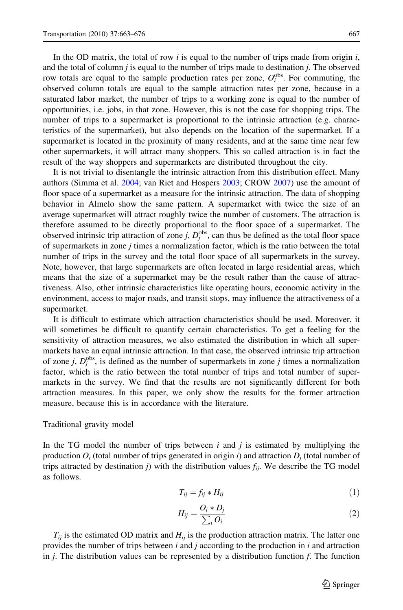<span id="page-4-0"></span>In the OD matrix, the total of row i is equal to the number of trips made from origin i, and the total of column  $j$  is equal to the number of trips made to destination  $j$ . The observed row totals are equal to the sample production rates per zone,  $O_i^{\text{obs}}$ . For commuting, the observed column totals are equal to the sample attraction rates per zone, because in a saturated labor market, the number of trips to a working zone is equal to the number of opportunities, i.e. jobs, in that zone. However, this is not the case for shopping trips. The number of trips to a supermarket is proportional to the intrinsic attraction (e.g. characteristics of the supermarket), but also depends on the location of the supermarket. If a supermarket is located in the proximity of many residents, and at the same time near few other supermarkets, it will attract many shoppers. This so called attraction is in fact the result of the way shoppers and supermarkets are distributed throughout the city.

It is not trivial to disentangle the intrinsic attraction from this distribution effect. Many authors (Simma et al. [2004](#page-13-0); van Riet and Hospers [2003;](#page-13-0) CROW [2007](#page-13-0)) use the amount of floor space of a supermarket as a measure for the intrinsic attraction. The data of shopping behavior in Almelo show the same pattern. A supermarket with twice the size of an average supermarket will attract roughly twice the number of customers. The attraction is therefore assumed to be directly proportional to the floor space of a supermarket. The observed intrinsic trip attraction of zone j,  $D_j^{obs}$ , can thus be defined as the total floor space of supermarkets in zone j times a normalization factor, which is the ratio between the total number of trips in the survey and the total floor space of all supermarkets in the survey. Note, however, that large supermarkets are often located in large residential areas, which means that the size of a supermarket may be the result rather than the cause of attractiveness. Also, other intrinsic characteristics like operating hours, economic activity in the environment, access to major roads, and transit stops, may influence the attractiveness of a supermarket.

It is difficult to estimate which attraction characteristics should be used. Moreover, it will sometimes be difficult to quantify certain characteristics. To get a feeling for the sensitivity of attraction measures, we also estimated the distribution in which all supermarkets have an equal intrinsic attraction. In that case, the observed intrinsic trip attraction of zone j,  $D_j^{\text{obs}}$ , is defined as the number of supermarkets in zone j times a normalization factor, which is the ratio between the total number of trips and total number of supermarkets in the survey. We find that the results are not significantly different for both attraction measures. In this paper, we only show the results for the former attraction measure, because this is in accordance with the literature.

#### Traditional gravity model

In the TG model the number of trips between  $i$  and  $j$  is estimated by multiplying the production  $O_i$  (total number of trips generated in origin i) and attraction  $D_i$  (total number of trips attracted by destination j) with the distribution values  $f_{ij}$ . We describe the TG model as follows.

$$
T_{ij} = f_{ij} * H_{ij} \tag{1}
$$

$$
H_{ij} = \frac{O_i * D_j}{\sum_i O_i} \tag{2}
$$

 $T_{ij}$  is the estimated OD matrix and  $H_{ij}$  is the production attraction matrix. The latter one provides the number of trips between  $i$  and  $j$  according to the production in  $i$  and attraction in  $j$ . The distribution values can be represented by a distribution function  $f$ . The function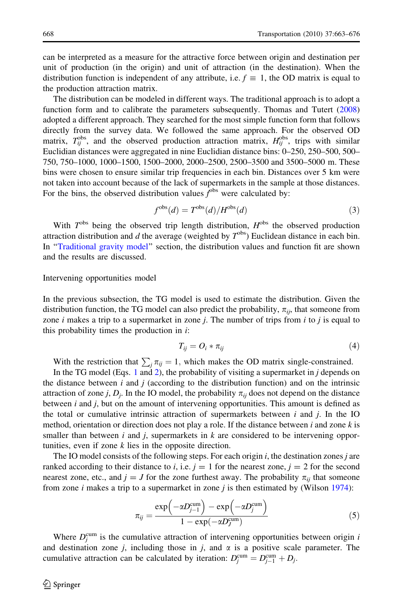<span id="page-5-0"></span>can be interpreted as a measure for the attractive force between origin and destination per unit of production (in the origin) and unit of attraction (in the destination). When the distribution function is independent of any attribute, i.e.  $f \equiv 1$ , the OD matrix is equal to the production attraction matrix.

The distribution can be modeled in different ways. The traditional approach is to adopt a function form and to calibrate the parameters subsequently. Thomas and Tutert ([2008](#page-13-0)) adopted a different approach. They searched for the most simple function form that follows directly from the survey data. We followed the same approach. For the observed OD matrix,  $T_{ij}^{\text{obs}}$ , and the observed production attraction matrix,  $H_{ij}^{\text{obs}}$ , trips with similar Euclidian distances were aggregated in nine Euclidian distance bins: 0–250, 250–500, 500– 750, 750–1000, 1000–1500, 1500–2000, 2000–2500, 2500–3500 and 3500–5000 m. These bins were chosen to ensure similar trip frequencies in each bin. Distances over 5 km were not taken into account because of the lack of supermarkets in the sample at those distances. For the bins, the observed distribution values  $f<sup>obs</sup>$  were calculated by:

$$
f^{\rm obs}(d) = T^{\rm obs}(d) / H^{\rm obs}(d)
$$
\n(3)

With  $T^{obs}$  being the observed trip length distribution,  $H^{obs}$  the observed production attraction distribution and d the average (weighted by  $T^{obs}$ ) Euclidean distance in each bin. In ''[Traditional gravity model'](#page-8-0)' section, the distribution values and function fit are shown and the results are discussed.

## Intervening opportunities model

In the previous subsection, the TG model is used to estimate the distribution. Given the distribution function, the TG model can also predict the probability,  $\pi_{ii}$ , that someone from zone i makes a trip to a supermarket in zone j. The number of trips from i to j is equal to this probability times the production in *:* 

$$
T_{ij} = O_i * \pi_{ij} \tag{4}
$$

With the restriction that  $\sum_j \pi_{ij} = 1$ , which makes the OD matrix single-constrained.

In the TG model (Eqs. [1](#page-4-0) and [2](#page-4-0)), the probability of visiting a supermarket in *j* depends on the distance between  $i$  and  $j$  (according to the distribution function) and on the intrinsic attraction of zone j,  $D_i$ . In the IO model, the probability  $\pi_{ii}$  does not depend on the distance between i and j, but on the amount of intervening opportunities. This amount is defined as the total or cumulative intrinsic attraction of supermarkets between  $i$  and  $j$ . In the IO method, orientation or direction does not play a role. If the distance between i and zone  $k$  is smaller than between  $i$  and  $j$ , supermarkets in  $k$  are considered to be intervening opportunities, even if zone  $k$  lies in the opposite direction.

The IO model consists of the following steps. For each origin  $i$ , the destination zones  $j$  are ranked according to their distance to i, i.e.  $j = 1$  for the nearest zone,  $j = 2$  for the second nearest zone, etc., and  $j = J$  for the zone furthest away. The probability  $\pi_{ij}$  that someone from zone *i* makes a trip to a supermarket in zone *j* is then estimated by (Wilson [1974](#page-13-0)):

$$
\pi_{ij} = \frac{\exp\left(-\alpha D_{j-1}^{\text{cum}}\right) - \exp\left(-\alpha D_j^{\text{cum}}\right)}{1 - \exp(-\alpha D_j^{\text{cum}})}
$$
(5)

Where  $D_j^{\text{cum}}$  is the cumulative attraction of intervening opportunities between origin i and destination zone j, including those in j, and  $\alpha$  is a positive scale parameter. The cumulative attraction can be calculated by iteration:  $D_j^{\text{cum}} = D_{j-1}^{\text{cum}} + D_j$ .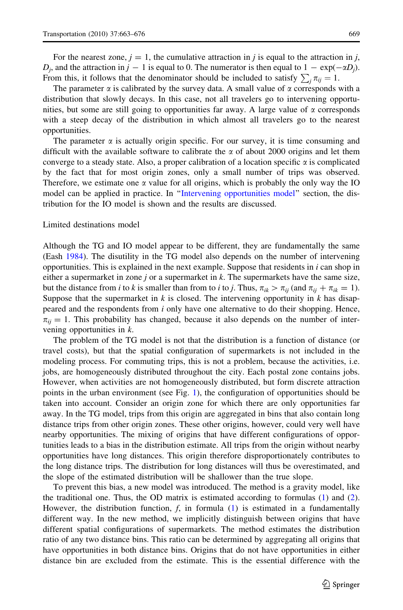<span id="page-6-0"></span>For the nearest zone,  $j = 1$ , the cumulative attraction in j is equal to the attraction in j,  $D_i$ , and the attraction in  $j - 1$  is equal to 0. The numerator is then equal to  $1 - \exp(-\alpha D_i)$ . From this, it follows that the denominator should be included to satisfy  $\sum_j \pi_{ij} = 1$ .

The parameter  $\alpha$  is calibrated by the survey data. A small value of  $\alpha$  corresponds with a distribution that slowly decays. In this case, not all travelers go to intervening opportunities, but some are still going to opportunities far away. A large value of  $\alpha$  corresponds with a steep decay of the distribution in which almost all travelers go to the nearest opportunities.

The parameter  $\alpha$  is actually origin specific. For our survey, it is time consuming and difficult with the available software to calibrate the  $\alpha$  of about 2000 origins and let them converge to a steady state. Also, a proper calibration of a location specific  $\alpha$  is complicated by the fact that for most origin zones, only a small number of trips was observed. Therefore, we estimate one  $\alpha$  value for all origins, which is probably the only way the IO model can be applied in practice. In ''[Intervening opportunities model](#page-9-0)'' section, the distribution for the IO model is shown and the results are discussed.

## Limited destinations model

Although the TG and IO model appear to be different, they are fundamentally the same (Eash [1984\)](#page-13-0). The disutility in the TG model also depends on the number of intervening opportunities. This is explained in the next example. Suppose that residents in  $i$  can shop in either a supermarket in zone  $j$  or a supermarket in  $k$ . The supermarkets have the same size, but the distance from *i* to *k* is smaller than from to *i* to *j*. Thus,  $\pi_{ik} > \pi_{ii}$  (and  $\pi_{ii} + \pi_{ik} = 1$ ). Suppose that the supermarket in  $k$  is closed. The intervening opportunity in  $k$  has disappeared and the respondents from i only have one alternative to do their shopping. Hence,  $\pi_{ii} = 1$ . This probability has changed, because it also depends on the number of intervening opportunities in  $k$ .

The problem of the TG model is not that the distribution is a function of distance (or travel costs), but that the spatial configuration of supermarkets is not included in the modeling process. For commuting trips, this is not a problem, because the activities, i.e. jobs, are homogeneously distributed throughout the city. Each postal zone contains jobs. However, when activities are not homogeneously distributed, but form discrete attraction points in the urban environment (see Fig. [1\)](#page-2-0), the configuration of opportunities should be taken into account. Consider an origin zone for which there are only opportunities far away. In the TG model, trips from this origin are aggregated in bins that also contain long distance trips from other origin zones. These other origins, however, could very well have nearby opportunities. The mixing of origins that have different configurations of opportunities leads to a bias in the distribution estimate. All trips from the origin without nearby opportunities have long distances. This origin therefore disproportionately contributes to the long distance trips. The distribution for long distances will thus be overestimated, and the slope of the estimated distribution will be shallower than the true slope.

To prevent this bias, a new model was introduced. The method is a gravity model, like the traditional one. Thus, the OD matrix is estimated according to formulas ([1](#page-4-0)) and [\(2](#page-4-0)). However, the distribution function,  $f$ , in formula ([1\)](#page-4-0) is estimated in a fundamentally different way. In the new method, we implicitly distinguish between origins that have different spatial configurations of supermarkets. The method estimates the distribution ratio of any two distance bins. This ratio can be determined by aggregating all origins that have opportunities in both distance bins. Origins that do not have opportunities in either distance bin are excluded from the estimate. This is the essential difference with the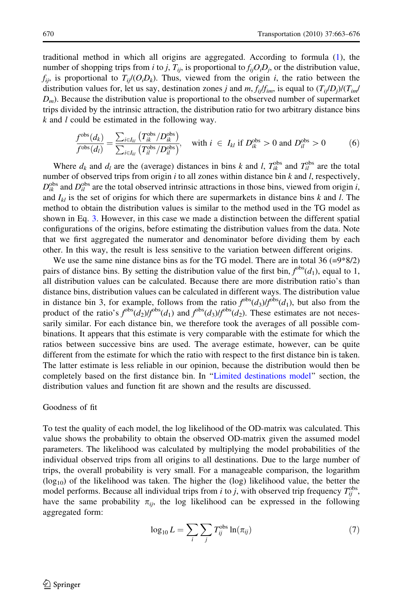<span id="page-7-0"></span>traditional method in which all origins are aggregated. According to formula [\(1\)](#page-4-0), the number of shopping trips from i to j,  $T_{ii}$ , is proportional to  $f_{ii}O_iD_i$ , or the distribution value,  $f_{ii}$ , is proportional to  $T_{ii}/(O_iD_k)$ . Thus, viewed from the origin i, the ratio between the distribution values for, let us say, destination zones j and m,  $f_{ij}/f_{im}$ , is equal to  $(T_{ij}/D_j)/(T_{im}/T_{ij})$  $D<sub>m</sub>$ ). Because the distribution value is proportional to the observed number of supermarket trips divided by the intrinsic attraction, the distribution ratio for two arbitrary distance bins  $k$  and  $l$  could be estimated in the following way.

$$
\frac{f^{\text{obs}}(d_k)}{f^{\text{obs}}(d_l)} = \frac{\sum_{i \in I_{kl}} \left( T^{\text{obs}}_{ik} / D^{\text{obs}}_{ik} \right)}{\sum_{i \in I_{kl}} \left( T^{\text{obs}}_{il} / D^{\text{obs}}_{il} \right)}, \quad \text{with } i \in I_{kl} \text{ if } D^{\text{obs}}_{ik} > 0 \text{ and } D^{\text{obs}}_{il} > 0 \tag{6}
$$

Where  $d_k$  and  $d_l$  are the (average) distances in bins k and l,  $T_{ik}^{obs}$  and  $T_{il}^{obs}$  are the total number of observed trips from origin  $i$  to all zones within distance bin  $k$  and  $l$ , respectively,  $D_{ik}^{\text{obs}}$  and  $D_{il}^{\text{obs}}$  are the total observed intrinsic attractions in those bins, viewed from origin *i*, and  $I_{kl}$  is the set of origins for which there are supermarkets in distance bins k and l. The method to obtain the distribution values is similar to the method used in the TG model as shown in Eq. [3](#page-5-0). However, in this case we made a distinction between the different spatial configurations of the origins, before estimating the distribution values from the data. Note that we first aggregated the numerator and denominator before dividing them by each other. In this way, the result is less sensitive to the variation between different origins.

We use the same nine distance bins as for the TG model. There are in total  $36 = 9*8/2$ pairs of distance bins. By setting the distribution value of the first bin,  $f^{obs}(d_1)$ , equal to 1, all distribution values can be calculated. Because there are more distribution ratio's than distance bins, distribution values can be calculated in different ways. The distribution value in distance bin 3, for example, follows from the ratio  $f^{obs}(d_3)/f^{obs}(d_1)$ , but also from the product of the ratio's  $f^{obs}(d_2)/f^{obs}(d_1)$  and  $f^{obs}(d_3)/f^{obs}(d_2)$ . These estimates are not necessarily similar. For each distance bin, we therefore took the averages of all possible combinations. It appears that this estimate is very comparable with the estimate for which the ratios between successive bins are used. The average estimate, however, can be quite different from the estimate for which the ratio with respect to the first distance bin is taken. The latter estimate is less reliable in our opinion, because the distribution would then be completely based on the first distance bin. In '['Limited destinations model](#page-9-0)'' section, the distribution values and function fit are shown and the results are discussed.

# Goodness of fit

To test the quality of each model, the log likelihood of the OD-matrix was calculated. This value shows the probability to obtain the observed OD-matrix given the assumed model parameters. The likelihood was calculated by multiplying the model probabilities of the individual observed trips from all origins to all destinations. Due to the large number of trips, the overall probability is very small. For a manageable comparison, the logarithm  $(log_{10})$  of the likelihood was taken. The higher the  $(log)$  likelihood value, the better the model performs. Because all individual trips from *i* to *j*, with observed trip frequency  $T_{ij}^{obs}$ , have the same probability  $\pi_{ii}$ , the log likelihood can be expressed in the following aggregated form:

$$
\log_{10} L = \sum_{i} \sum_{j} T_{ij}^{\text{obs}} \ln(\pi_{ij}) \tag{7}
$$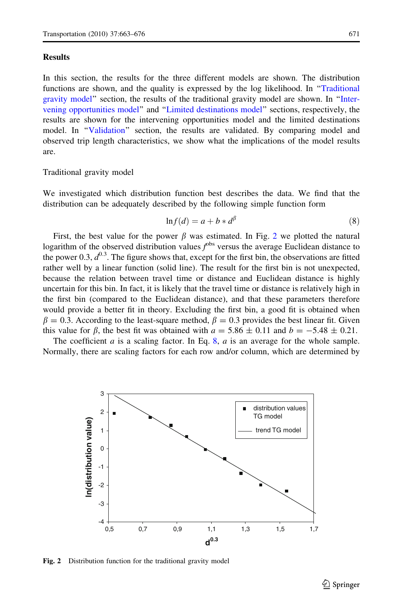## <span id="page-8-0"></span>Results

In this section, the results for the three different models are shown. The distribution functions are shown, and the quality is expressed by the log likelihood. In ''Traditional gravity model'' section, the results of the traditional gravity model are shown. In ''[Inter](#page-9-0)[vening opportunities model'](#page-9-0)' and ''[Limited destinations model](#page-9-0)'' sections, respectively, the results are shown for the intervening opportunities model and the limited destinations model. In "Validation" section, the results are validated. By comparing model and observed trip length characteristics, we show what the implications of the model results are.

## Traditional gravity model

We investigated which distribution function best describes the data. We find that the distribution can be adequately described by the following simple function form

$$
\ln f(d) = a + b * d^{\beta} \tag{8}
$$

First, the best value for the power  $\beta$  was estimated. In Fig. 2 we plotted the natural logarithm of the observed distribution values  $f<sup>obs</sup>$  versus the average Euclidean distance to the power 0.3,  $d^{0.3}$ . The figure shows that, except for the first bin, the observations are fitted rather well by a linear function (solid line). The result for the first bin is not unexpected, because the relation between travel time or distance and Euclidean distance is highly uncertain for this bin. In fact, it is likely that the travel time or distance is relatively high in the first bin (compared to the Euclidean distance), and that these parameters therefore would provide a better fit in theory. Excluding the first bin, a good fit is obtained when  $\beta = 0.3$ . According to the least-square method,  $\beta = 0.3$  provides the best linear fit. Given this value for  $\beta$ , the best fit was obtained with  $a = 5.86 \pm 0.11$  and  $b = -5.48 \pm 0.21$ .

The coefficient  $a$  is a scaling factor. In Eq. 8,  $a$  is an average for the whole sample. Normally, there are scaling factors for each row and/or column, which are determined by



Fig. 2 Distribution function for the traditional gravity model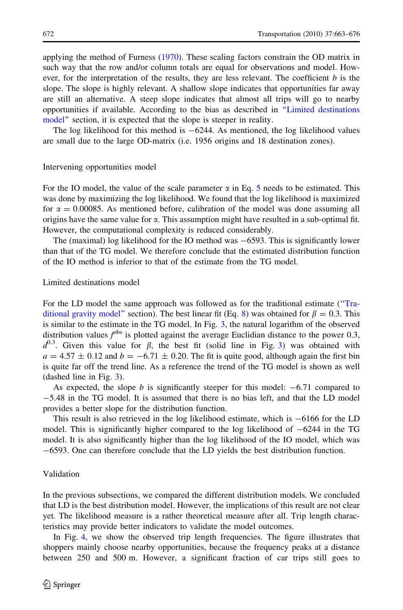<span id="page-9-0"></span>applying the method of Furness ([1970\)](#page-13-0). These scaling factors constrain the OD matrix in such way that the row and/or column totals are equal for observations and model. However, for the interpretation of the results, they are less relevant. The coefficient  $b$  is the slope. The slope is highly relevant. A shallow slope indicates that opportunities far away are still an alternative. A steep slope indicates that almost all trips will go to nearby opportunities if available. According to the bias as described in ''[Limited destinations](#page-6-0) model" section, it is expected that the slope is steeper in reality.

The log likelihood for this method is  $-6244$ . As mentioned, the log likelihood values are small due to the large OD-matrix (i.e. 1956 origins and 18 destination zones).

#### Intervening opportunities model

For the IO model, the value of the scale parameter  $\alpha$  in Eq. [5](#page-5-0) needs to be estimated. This was done by maximizing the log likelihood. We found that the log likelihood is maximized for  $\alpha = 0.00085$ . As mentioned before, calibration of the model was done assuming all origins have the same value for  $\alpha$ . This assumption might have resulted in a sub-optimal fit. However, the computational complexity is reduced considerably.

The (maximal) log likelihood for the IO method was  $-6593$ . This is significantly lower than that of the TG model. We therefore conclude that the estimated distribution function of the IO method is inferior to that of the estimate from the TG model.

## Limited destinations model

For the LD model the same approach was followed as for the traditional estimate ('['Tra-](#page-8-0)ditional gravity model" section). The best linear fit (Eq. [8](#page-8-0)) was obtained for  $\beta = 0.3$ . This is similar to the estimate in the TG model. In Fig. [3](#page-10-0), the natural logarithm of the observed distribution values  $f^{obs}$  is plotted against the average Euclidian distance to the power 0.3,  $d^{0.3}$  $d^{0.3}$  $d^{0.3}$ . Given this value for  $\beta$ , the best fit (solid line in Fig. 3) was obtained with  $a = 4.57 \pm 0.12$  and  $b = -6.71 \pm 0.20$ . The fit is quite good, although again the first bin is quite far off the trend line. As a reference the trend of the TG model is shown as well (dashed line in Fig. [3](#page-10-0)).

As expected, the slope  $b$  is significantly steeper for this model:  $-6.71$  compared to -5.48 in the TG model. It is assumed that there is no bias left, and that the LD model provides a better slope for the distribution function.

This result is also retrieved in the log likelihood estimate, which is  $-6166$  for the LD model. This is significantly higher compared to the log likelihood of  $-6244$  in the TG model. It is also significantly higher than the log likelihood of the IO model, which was -6593. One can therefore conclude that the LD yields the best distribution function.

## Validation

In the previous subsections, we compared the different distribution models. We concluded that LD is the best distribution model. However, the implications of this result are not clear yet. The likelihood measure is a rather theoretical measure after all. Trip length characteristics may provide better indicators to validate the model outcomes.

In Fig. [4](#page-10-0), we show the observed trip length frequencies. The figure illustrates that shoppers mainly choose nearby opportunities, because the frequency peaks at a distance between 250 and 500 m. However, a significant fraction of car trips still goes to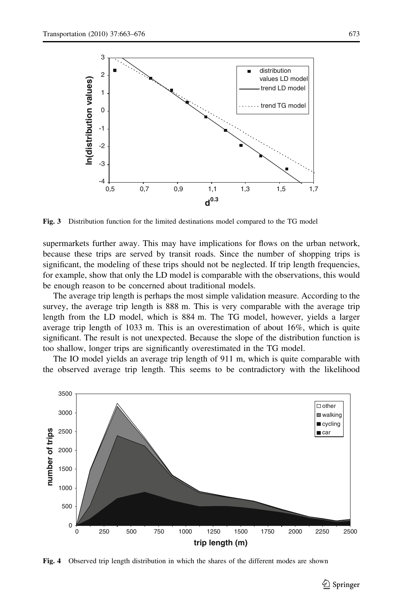<span id="page-10-0"></span>

Fig. 3 Distribution function for the limited destinations model compared to the TG model

supermarkets further away. This may have implications for flows on the urban network, because these trips are served by transit roads. Since the number of shopping trips is significant, the modeling of these trips should not be neglected. If trip length frequencies, for example, show that only the LD model is comparable with the observations, this would be enough reason to be concerned about traditional models.

The average trip length is perhaps the most simple validation measure. According to the survey, the average trip length is 888 m. This is very comparable with the average trip length from the LD model, which is 884 m. The TG model, however, yields a larger average trip length of 1033 m. This is an overestimation of about 16%, which is quite significant. The result is not unexpected. Because the slope of the distribution function is too shallow, longer trips are significantly overestimated in the TG model.

The IO model yields an average trip length of 911 m, which is quite comparable with the observed average trip length. This seems to be contradictory with the likelihood



Fig. 4 Observed trip length distribution in which the shares of the different modes are shown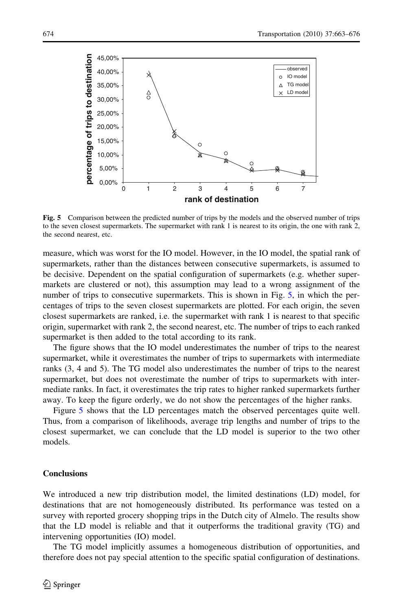<span id="page-11-0"></span>

Fig. 5 Comparison between the predicted number of trips by the models and the observed number of trips to the seven closest supermarkets. The supermarket with rank 1 is nearest to its origin, the one with rank 2, the second nearest, etc.

measure, which was worst for the IO model. However, in the IO model, the spatial rank of supermarkets, rather than the distances between consecutive supermarkets, is assumed to be decisive. Dependent on the spatial configuration of supermarkets (e.g. whether supermarkets are clustered or not), this assumption may lead to a wrong assignment of the number of trips to consecutive supermarkets. This is shown in Fig. 5, in which the percentages of trips to the seven closest supermarkets are plotted. For each origin, the seven closest supermarkets are ranked, i.e. the supermarket with rank 1 is nearest to that specific origin, supermarket with rank 2, the second nearest, etc. The number of trips to each ranked supermarket is then added to the total according to its rank.

The figure shows that the IO model underestimates the number of trips to the nearest supermarket, while it overestimates the number of trips to supermarkets with intermediate ranks (3, 4 and 5). The TG model also underestimates the number of trips to the nearest supermarket, but does not overestimate the number of trips to supermarkets with intermediate ranks. In fact, it overestimates the trip rates to higher ranked supermarkets further away. To keep the figure orderly, we do not show the percentages of the higher ranks.

Figure 5 shows that the LD percentages match the observed percentages quite well. Thus, from a comparison of likelihoods, average trip lengths and number of trips to the closest supermarket, we can conclude that the LD model is superior to the two other models.

#### **Conclusions**

We introduced a new trip distribution model, the limited destinations (LD) model, for destinations that are not homogeneously distributed. Its performance was tested on a survey with reported grocery shopping trips in the Dutch city of Almelo. The results show that the LD model is reliable and that it outperforms the traditional gravity (TG) and intervening opportunities (IO) model.

The TG model implicitly assumes a homogeneous distribution of opportunities, and therefore does not pay special attention to the specific spatial configuration of destinations.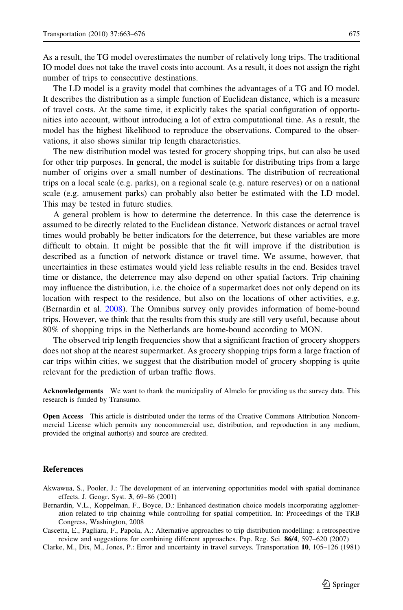<span id="page-12-0"></span>As a result, the TG model overestimates the number of relatively long trips. The traditional IO model does not take the travel costs into account. As a result, it does not assign the right number of trips to consecutive destinations.

The LD model is a gravity model that combines the advantages of a TG and IO model. It describes the distribution as a simple function of Euclidean distance, which is a measure of travel costs. At the same time, it explicitly takes the spatial configuration of opportunities into account, without introducing a lot of extra computational time. As a result, the model has the highest likelihood to reproduce the observations. Compared to the observations, it also shows similar trip length characteristics.

The new distribution model was tested for grocery shopping trips, but can also be used for other trip purposes. In general, the model is suitable for distributing trips from a large number of origins over a small number of destinations. The distribution of recreational trips on a local scale (e.g. parks), on a regional scale (e.g. nature reserves) or on a national scale (e.g. amusement parks) can probably also better be estimated with the LD model. This may be tested in future studies.

A general problem is how to determine the deterrence. In this case the deterrence is assumed to be directly related to the Euclidean distance. Network distances or actual travel times would probably be better indicators for the deterrence, but these variables are more difficult to obtain. It might be possible that the fit will improve if the distribution is described as a function of network distance or travel time. We assume, however, that uncertainties in these estimates would yield less reliable results in the end. Besides travel time or distance, the deterrence may also depend on other spatial factors. Trip chaining may influence the distribution, i.e. the choice of a supermarket does not only depend on its location with respect to the residence, but also on the locations of other activities, e.g. (Bernardin et al. 2008). The Omnibus survey only provides information of home-bound trips. However, we think that the results from this study are still very useful, because about 80% of shopping trips in the Netherlands are home-bound according to MON.

The observed trip length frequencies show that a significant fraction of grocery shoppers does not shop at the nearest supermarket. As grocery shopping trips form a large fraction of car trips within cities, we suggest that the distribution model of grocery shopping is quite relevant for the prediction of urban traffic flows.

Acknowledgements We want to thank the municipality of Almelo for providing us the survey data. This research is funded by Transumo.

Open Access This article is distributed under the terms of the Creative Commons Attribution Noncommercial License which permits any noncommercial use, distribution, and reproduction in any medium, provided the original author(s) and source are credited.

#### References

Akwawua, S., Pooler, J.: The development of an intervening opportunities model with spatial dominance effects. J. Geogr. Syst. 3, 69–86 (2001)

Bernardin, V.L., Koppelman, F., Boyce, D.: Enhanced destination choice models incorporating agglomeration related to trip chaining while controlling for spatial competition. In: Proceedings of the TRB Congress, Washington, 2008

Cascetta, E., Pagliara, F., Papola, A.: Alternative approaches to trip distribution modelling: a retrospective review and suggestions for combining different approaches. Pap. Reg. Sci. 86/4, 597–620 (2007)

Clarke, M., Dix, M., Jones, P.: Error and uncertainty in travel surveys. Transportation 10, 105–126 (1981)